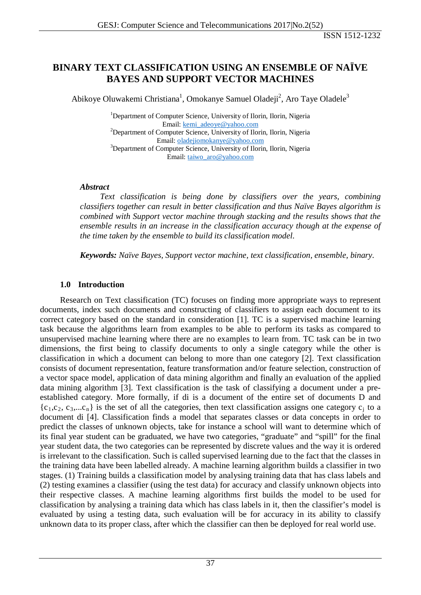# **BINARY TEXT CLASSIFICATION USING AN ENSEMBLE OF NAÏVE BAYES AND SUPPORT VECTOR MACHINES**

Abikoye Oluwakemi Christiana<sup>1</sup>, Omokanye Samuel Oladeji<sup>2</sup>, Aro Taye Oladele<sup>3</sup>

<sup>1</sup>Department of Computer Science, University of Ilorin, Ilorin, Nigeria Email: [kemi\\_adeoye@yahoo.com](mailto:kemi_adeoye@yahoo.com)<br><sup>2</sup>Department of Computer Science, University of Ilorin, Ilorin, Nigeria Email: [oladejiomokanye@yahoo.com](mailto:oladejiomokanye@yahoo.com) <sup>3</sup>Department of Computer Science, University of Ilorin, Ilorin, Nigeria Email: [taiwo\\_aro@yahoo.com](mailto:taiwo_aro@yahoo.com)

#### *Abstract*

*Text classification is being done by classifiers over the years, combining classifiers together can result in better classification and thus Naïve Bayes algorithm is combined with Support vector machine through stacking and the results shows that the ensemble results in an increase in the classification accuracy though at the expense of the time taken by the ensemble to build its classification model.*

*Keywords: Naïve Bayes, Support vector machine, text classification, ensemble, binary.*

### **1.0 Introduction**

Research on Text classification (TC) focuses on finding more appropriate ways to represent documents, index such documents and constructing of classifiers to assign each document to its correct category based on the standard in consideration [1]. TC is a supervised machine learning task because the algorithms learn from examples to be able to perform its tasks as compared to unsupervised machine learning where there are no examples to learn from. TC task can be in two dimensions, the first being to classify documents to only a single category while the other is classification in which a document can belong to more than one category [2]. Text classification consists of document representation, feature transformation and/or feature selection, construction of a vector space model, application of data mining algorithm and finally an evaluation of the applied data mining algorithm [3]. Text classification is the task of classifying a document under a preestablished category. More formally, if di is a document of the entire set of documents D and  ${c_1,c_2, c_3,...c_n}$  is the set of all the categories, then text classification assigns one category  $c_i$  to a document di [4]. Classification finds a model that separates classes or data concepts in order to predict the classes of unknown objects, take for instance a school will want to determine which of its final year student can be graduated, we have two categories, "graduate" and "spill" for the final year student data, the two categories can be represented by discrete values and the way it is ordered is irrelevant to the classification. Such is called supervised learning due to the fact that the classes in the training data have been labelled already. A machine learning algorithm builds a classifier in two stages. (1) Training builds a classification model by analysing training data that has class labels and (2) testing examines a classifier (using the test data) for accuracy and classify unknown objects into their respective classes. A machine learning algorithms first builds the model to be used for classification by analysing a training data which has class labels in it, then the classifier's model is evaluated by using a testing data, such evaluation will be for accuracy in its ability to classify unknown data to its proper class, after which the classifier can then be deployed for real world use.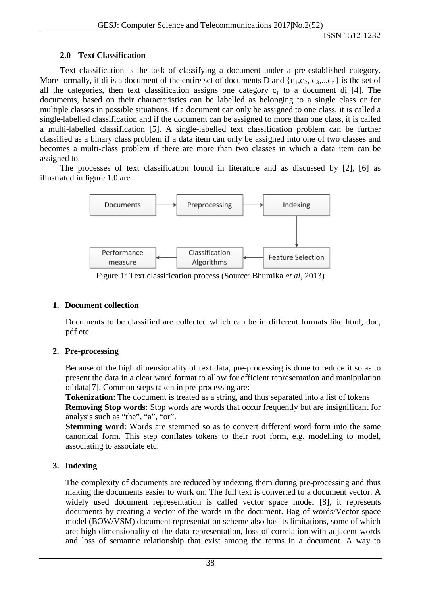## **2.0 Text Classification**

Text classification is the task of classifying a document under a pre-established category. More formally, if di is a document of the entire set of documents D and  $\{c_1, c_2, c_3, ... c_n\}$  is the set of all the categories, then text classification assigns one category  $c_i$  to a document di [4]. The documents, based on their characteristics can be labelled as belonging to a single class or for multiple classes in possible situations. If a document can only be assigned to one class, it is called a single-labelled classification and if the document can be assigned to more than one class, it is called a multi-labelled classification [5]. A single-labelled text classification problem can be further classified as a binary class problem if a data item can only be assigned into one of two classes and becomes a multi-class problem if there are more than two classes in which a data item can be assigned to.

The processes of text classification found in literature and as discussed by [2], [6] as illustrated in figure 1.0 are



Figure 1: Text classification process (Source: Bhumika *et al*, 2013)

## **1. Document collection**

Documents to be classified are collected which can be in different formats like html, doc, pdf etc.

## **2. Pre-processing**

Because of the high dimensionality of text data, pre-processing is done to reduce it so as to present the data in a clear word format to allow for efficient representation and manipulation of data[7]. Common steps taken in pre-processing are:

**Tokenization**: The document is treated as a string, and thus separated into a list of tokens **Removing Stop words**: Stop words are words that occur frequently but are insignificant for analysis such as "the", "a", "or".

**Stemming word**: Words are stemmed so as to convert different word form into the same canonical form. This step conflates tokens to their root form, e.g. modelling to model, associating to associate etc.

# **3. Indexing**

The complexity of documents are reduced by indexing them during pre-processing and thus making the documents easier to work on. The full text is converted to a document vector. A widely used document representation is called vector space model [8], it represents documents by creating a vector of the words in the document. Bag of words/Vector space model (BOW/VSM) document representation scheme also has its limitations, some of which are: high dimensionality of the data representation, loss of correlation with adjacent words and loss of semantic relationship that exist among the terms in a document. A way to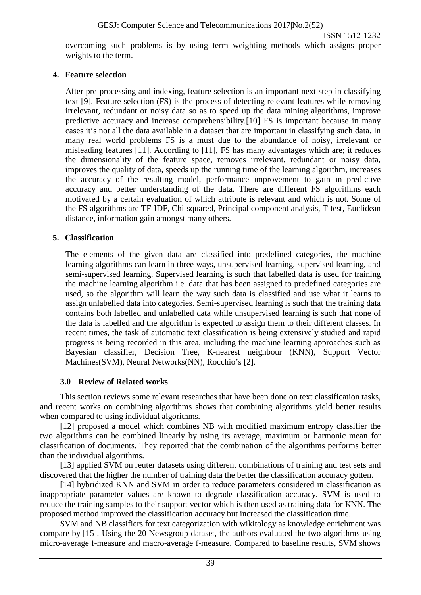overcoming such problems is by using term weighting methods which assigns proper weights to the term.

## **4. Feature selection**

After pre-processing and indexing, feature selection is an important next step in classifying text [9]. Feature selection (FS) is the process of detecting relevant features while removing irrelevant, redundant or noisy data so as to speed up the data mining algorithms, improve predictive accuracy and increase comprehensibility.[10] FS is important because in many cases it's not all the data available in a dataset that are important in classifying such data. In many real world problems FS is a must due to the abundance of noisy, irrelevant or misleading features [11]. According to [11], FS has many advantages which are; it reduces the dimensionality of the feature space, removes irrelevant, redundant or noisy data, improves the quality of data, speeds up the running time of the learning algorithm, increases the accuracy of the resulting model, performance improvement to gain in predictive accuracy and better understanding of the data. There are different FS algorithms each motivated by a certain evaluation of which attribute is relevant and which is not. Some of the FS algorithms are TF-IDF, Chi-squared, Principal component analysis, T-test, Euclidean distance, information gain amongst many others.

## **5. Classification**

The elements of the given data are classified into predefined categories, the machine learning algorithms can learn in three ways, unsupervised learning, supervised learning, and semi-supervised learning. Supervised learning is such that labelled data is used for training the machine learning algorithm i.e. data that has been assigned to predefined categories are used, so the algorithm will learn the way such data is classified and use what it learns to assign unlabelled data into categories. Semi-supervised learning is such that the training data contains both labelled and unlabelled data while unsupervised learning is such that none of the data is labelled and the algorithm is expected to assign them to their different classes. In recent times, the task of automatic text classification is being extensively studied and rapid progress is being recorded in this area, including the machine learning approaches such as Bayesian classifier, Decision Tree, K-nearest neighbour (KNN), Support Vector Machines(SVM), Neural Networks(NN), Rocchio's [2].

## **3.0 Review of Related works**

This section reviews some relevant researches that have been done on text classification tasks, and recent works on combining algorithms shows that combining algorithms yield better results when compared to using individual algorithms.

[12] proposed a model which combines NB with modified maximum entropy classifier the two algorithms can be combined linearly by using its average, maximum or harmonic mean for classification of documents. They reported that the combination of the algorithms performs better than the individual algorithms.

[13] applied SVM on reuter datasets using different combinations of training and test sets and discovered that the higher the number of training data the better the classification accuracy gotten.

[14] hybridized KNN and SVM in order to reduce parameters considered in classification as inappropriate parameter values are known to degrade classification accuracy. SVM is used to reduce the training samples to their support vector which is then used as training data for KNN. The proposed method improved the classification accuracy but increased the classification time.

SVM and NB classifiers for text categorization with wikitology as knowledge enrichment was compare by [15]. Using the 20 Newsgroup dataset, the authors evaluated the two algorithms using micro-average f-measure and macro-average f-measure. Compared to baseline results, SVM shows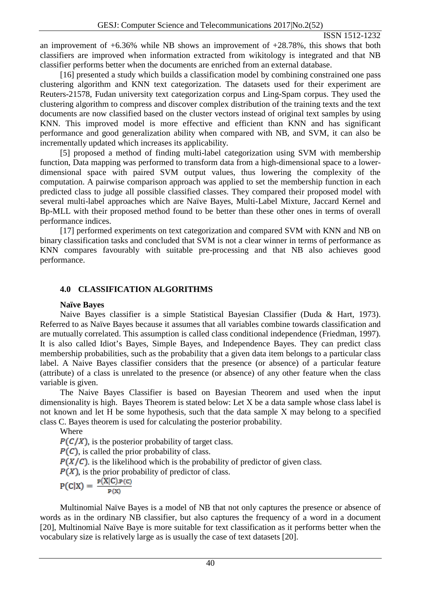an improvement of  $+6.36\%$  while NB shows an improvement of  $+28.78\%$ , this shows that both classifiers are improved when information extracted from wikitology is integrated and that NB classifier performs better when the documents are enriched from an external database.

[16] presented a study which builds a classification model by combining constrained one pass clustering algorithm and KNN text categorization. The datasets used for their experiment are Reuters-21578, Fudan university text categorization corpus and Ling-Spam corpus. They used the clustering algorithm to compress and discover complex distribution of the training texts and the text documents are now classified based on the cluster vectors instead of original text samples by using KNN. This improved model is more effective and efficient than KNN and has significant performance and good generalization ability when compared with NB, and SVM, it can also be incrementally updated which increases its applicability.

[5] proposed a method of finding multi-label categorization using SVM with membership function, Data mapping was performed to transform data from a high-dimensional space to a lowerdimensional space with paired SVM output values, thus lowering the complexity of the computation. A pairwise comparison approach was applied to set the membership function in each predicted class to judge all possible classified classes. They compared their proposed model with several multi-label approaches which are Naïve Bayes, Multi-Label Mixture, Jaccard Kernel and Bp-MLL with their proposed method found to be better than these other ones in terms of overall performance indices.

[17] performed experiments on text categorization and compared SVM with KNN and NB on binary classification tasks and concluded that SVM is not a clear winner in terms of performance as KNN compares favourably with suitable pre-processing and that NB also achieves good performance.

## **4.0 CLASSIFICATION ALGORITHMS**

#### **Naïve Bayes**

Naive Bayes classifier is a simple Statistical Bayesian Classifier (Duda & Hart, 1973). Referred to as Naïve Bayes because it assumes that all variables combine towards classification and are mutually correlated. This assumption is called class conditional independence (Friedman, 1997). It is also called Idiot's Bayes, Simple Bayes, and Independence Bayes. They can predict class membership probabilities, such as the probability that a given data item belongs to a particular class label. A Naive Bayes classifier considers that the presence (or absence) of a particular feature (attribute) of a class is unrelated to the presence (or absence) of any other feature when the class variable is given.

The Naive Bayes Classifier is based on Bayesian Theorem and used when the input dimensionality is high. Bayes Theorem is stated below: Let Χ be a data sample whose class label is not known and let Η be some hypothesis, such that the data sample Χ may belong to a specified class C. Bayes theorem is used for calculating the posterior probability.

Where

 $P(C/X)$ , is the posterior probability of target class.

 $P(C)$ , is called the prior probability of class.

 $P(X|\mathcal{C})$  is the likelihood which is the probability of predictor of given class.

 $P(X)$ , is the prior probability of predictor of class.

$$
P(C|X) = \frac{P(X|C) \cdot P(C)}{P(X)}
$$

Multinomial Naïve Bayes is a model of NB that not only captures the presence or absence of words as in the ordinary NB classifier, but also captures the frequency of a word in a document [20], Multinomial Naïve Baye is more suitable for text classification as it performs better when the vocabulary size is relatively large as is usually the case of text datasets [20].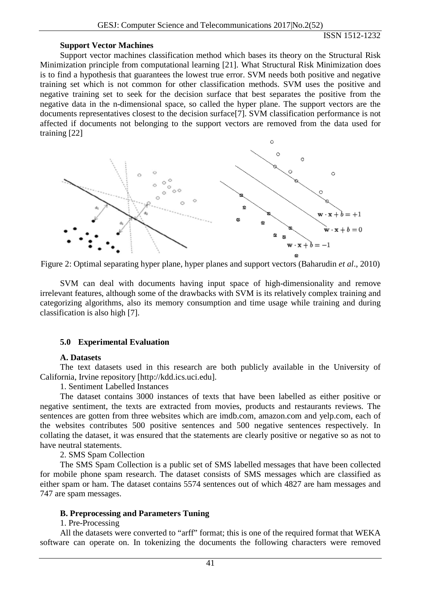#### **Support Vector Machines**

Support vector machines classification method which bases its theory on the Structural Risk Minimization principle from computational learning [21]. What Structural Risk Minimization does is to find a hypothesis that guarantees the lowest true error. SVM needs both positive and negative training set which is not common for other classification methods. SVM uses the positive and negative training set to seek for the decision surface that best separates the positive from the negative data in the n-dimensional space, so called the hyper plane. The support vectors are the documents representatives closest to the decision surface[7]. SVM classification performance is not affected if documents not belonging to the support vectors are removed from the data used for training [22]



Figure 2: Optimal separating hyper plane, hyper planes and support vectors (Baharudin *et al*., 2010)

SVM can deal with documents having input space of high-dimensionality and remove irrelevant features, although some of the drawbacks with SVM is its relatively complex training and categorizing algorithms, also its memory consumption and time usage while training and during classification is also high [7].

#### **5.0 Experimental Evaluation**

#### **A. Datasets**

The text datasets used in this research are both publicly available in the University of California, Irvine repository [http://kdd.ics.uci.edu].

1. Sentiment Labelled Instances

The dataset contains 3000 instances of texts that have been labelled as either positive or negative sentiment, the texts are extracted from movies, products and restaurants reviews. The sentences are gotten from three websites which are imdb.com, amazon.com and yelp.com, each of the websites contributes 500 positive sentences and 500 negative sentences respectively. In collating the dataset, it was ensured that the statements are clearly positive or negative so as not to have neutral statements.

2. SMS Spam Collection

The SMS Spam Collection is a public set of SMS labelled messages that have been collected for mobile phone spam research. The dataset consists of SMS messages which are classified as either spam or ham. The dataset contains 5574 sentences out of which 4827 are ham messages and 747 are spam messages.

#### **B. Preprocessing and Parameters Tuning**

#### 1. Pre-Processing

All the datasets were converted to "arff" format; this is one of the required format that WEKA software can operate on. In tokenizing the documents the following characters were removed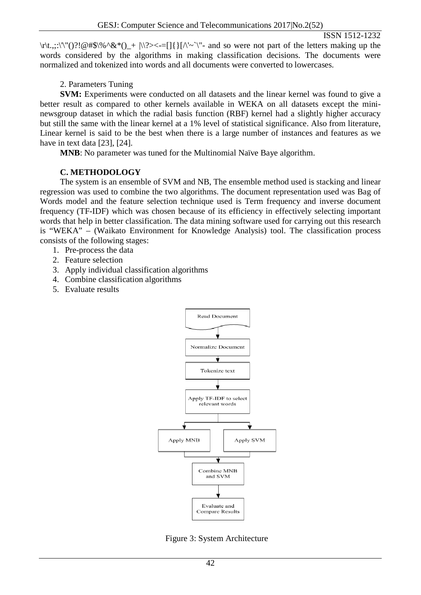\r\t.,;:\'\"()?!@#\$\%^&\*()\_+ |\\?><-=[]{}[/\'~`\"- and so were not part of the letters making up the words considered by the algorithms in making classification decisions. The documents were normalized and tokenized into words and all documents were converted to lowercases.

### 2. Parameters Tuning

**SVM:** Experiments were conducted on all datasets and the linear kernel was found to give a better result as compared to other kernels available in WEKA on all datasets except the mininewsgroup dataset in which the radial basis function (RBF) kernel had a slightly higher accuracy but still the same with the linear kernel at a 1% level of statistical significance. Also from literature, Linear kernel is said to be the best when there is a large number of instances and features as we have in text data [23], [24].

**MNB**: No parameter was tuned for the Multinomial Naïve Baye algorithm.

### **C. METHODOLOGY**

The system is an ensemble of SVM and NB, The ensemble method used is stacking and linear regression was used to combine the two algorithms. The document representation used was Bag of Words model and the feature selection technique used is Term frequency and inverse document frequency (TF-IDF) which was chosen because of its efficiency in effectively selecting important words that help in better classification. The data mining software used for carrying out this research is "WEKA" – (Waikato Environment for Knowledge Analysis) tool. The classification process consists of the following stages:

- 1. Pre-process the data
- 2. Feature selection
- 3. Apply individual classification algorithms
- 4. Combine classification algorithms
- 5. Evaluate results



Figure 3: System Architecture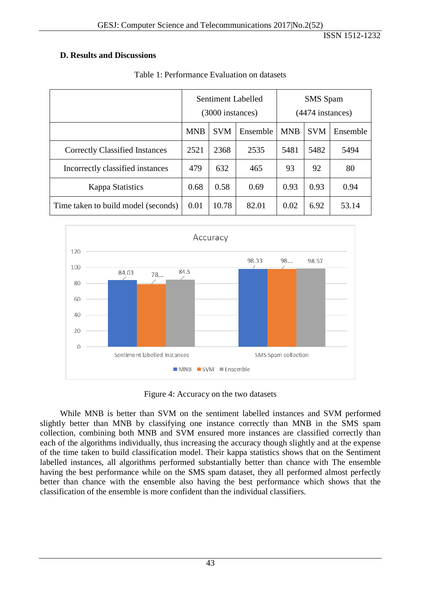### **D. Results and Discussions**

|                                       | Sentiment Labelled<br>(3000 instances) |            |          | <b>SMS</b> Spam<br>(4474 instances) |            |          |
|---------------------------------------|----------------------------------------|------------|----------|-------------------------------------|------------|----------|
|                                       | <b>MNB</b>                             | <b>SVM</b> | Ensemble | <b>MNB</b>                          | <b>SVM</b> | Ensemble |
| <b>Correctly Classified Instances</b> | 2521                                   | 2368       | 2535     | 5481                                | 5482       | 5494     |
| Incorrectly classified instances      | 479                                    | 632        | 465      | 93                                  | 92         | 80       |
| <b>Kappa Statistics</b>               | 0.68                                   | 0.58       | 0.69     | 0.93                                | 0.93       | 0.94     |
| Time taken to build model (seconds)   | 0.01                                   | 10.78      | 82.01    | 0.02                                | 6.92       | 53.14    |

### Table 1: Performance Evaluation on datasets



Figure 4: Accuracy on the two datasets

While MNB is better than SVM on the sentiment labelled instances and SVM performed slightly better than MNB by classifying one instance correctly than MNB in the SMS spam collection, combining both MNB and SVM ensured more instances are classified correctly than each of the algorithms individually, thus increasing the accuracy though slightly and at the expense of the time taken to build classification model. Their kappa statistics shows that on the Sentiment labelled instances, all algorithms performed substantially better than chance with The ensemble having the best performance while on the SMS spam dataset, they all performed almost perfectly better than chance with the ensemble also having the best performance which shows that the classification of the ensemble is more confident than the individual classifiers.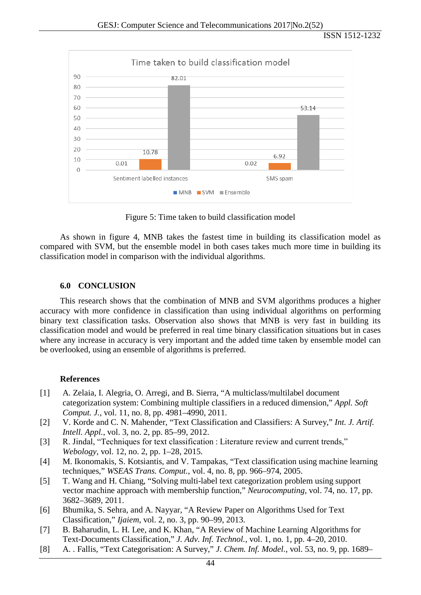

Figure 5: Time taken to build classification model

As shown in figure 4, MNB takes the fastest time in building its classification model as compared with SVM, but the ensemble model in both cases takes much more time in building its classification model in comparison with the individual algorithms.

#### **6.0 CONCLUSION**

This research shows that the combination of MNB and SVM algorithms produces a higher accuracy with more confidence in classification than using individual algorithms on performing binary text classification tasks. Observation also shows that MNB is very fast in building its classification model and would be preferred in real time binary classification situations but in cases where any increase in accuracy is very important and the added time taken by ensemble model can be overlooked, using an ensemble of algorithms is preferred.

#### **References**

- [1] A. Zelaia, I. Alegria, O. Arregi, and B. Sierra, "A multiclass/multilabel document categorization system: Combining multiple classifiers in a reduced dimension," *Appl. Soft Comput. J.*, vol. 11, no. 8, pp. 4981–4990, 2011.
- [2] V. Korde and C. N. Mahender, "Text Classification and Classifiers: A Survey," *Int. J. Artif. Intell. Appl.*, vol. 3, no. 2, pp. 85–99, 2012.
- [3] R. Jindal, "Techniques for text classification : Literature review and current trends," *Webology*, vol. 12, no. 2, pp. 1–28, 2015.
- [4] M. Ikonomakis, S. Kotsiantis, and V. Tampakas, "Text classification using machine learning techniques," *WSEAS Trans. Comput.*, vol. 4, no. 8, pp. 966–974, 2005.
- [5] T. Wang and H. Chiang, "Solving multi-label text categorization problem using support vector machine approach with membership function," *Neurocomputing*, vol. 74, no. 17, pp. 3682–3689, 2011.
- [6] Bhumika, S. Sehra, and A. Nayyar, "A Review Paper on Algorithms Used for Text Classification," *Ijaiem*, vol. 2, no. 3, pp. 90–99, 2013.
- [7] B. Baharudin, L. H. Lee, and K. Khan, "A Review of Machine Learning Algorithms for Text-Documents Classification," *J. Adv. Inf. Technol.*, vol. 1, no. 1, pp. 4–20, 2010.
- [8] A. . Fallis, "Text Categorisation: A Survey," *J. Chem. Inf. Model.*, vol. 53, no. 9, pp. 1689–